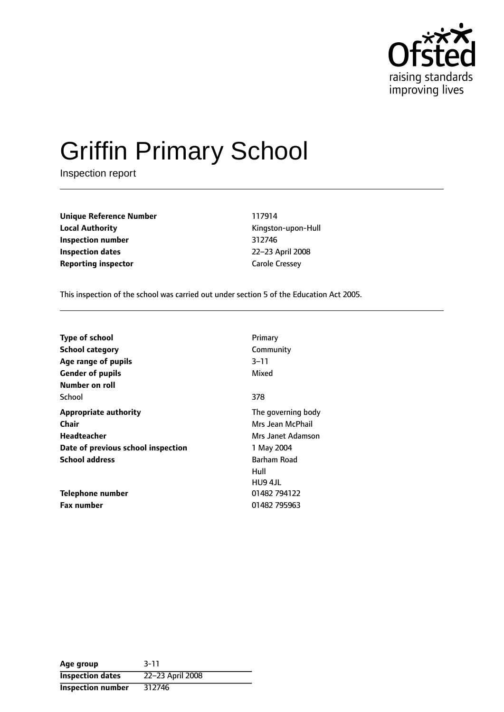

# Griffin Primary School

Inspection report

**Unique Reference Number** 117914 **Local Authority Constanting Constanting Constanting Constanting Constanting Kingston-upon-Hull Inspection number** 312746 **Inspection dates** 22-23 April 2008 **Reporting inspector** Carole Cressey

This inspection of the school was carried out under section 5 of the Education Act 2005.

| <b>Type of school</b>              | Primary            |
|------------------------------------|--------------------|
| <b>School category</b>             | Community          |
| Age range of pupils                | 3–11               |
| <b>Gender of pupils</b>            | Mixed              |
| Number on roll                     |                    |
| School                             | 378                |
| <b>Appropriate authority</b>       | The governing body |
| Chair                              | Mrs Jean McPhail   |
| Headteacher                        | Mrs Janet Adamson  |
| Date of previous school inspection | 1 May 2004         |
| <b>School address</b>              | Barham Road        |
|                                    | Hull               |
|                                    | HU9 4JL            |
| Telephone number                   | 01482 794122       |
| <b>Fax number</b>                  | 01482 795963       |

| Age group                | $3 - 11$         |
|--------------------------|------------------|
| <b>Inspection dates</b>  | 22-23 April 2008 |
| <b>Inspection number</b> | 312746           |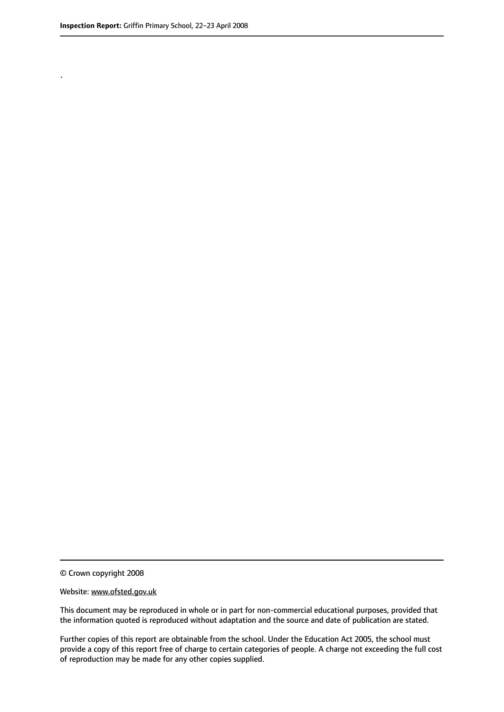.

© Crown copyright 2008

#### Website: www.ofsted.gov.uk

This document may be reproduced in whole or in part for non-commercial educational purposes, provided that the information quoted is reproduced without adaptation and the source and date of publication are stated.

Further copies of this report are obtainable from the school. Under the Education Act 2005, the school must provide a copy of this report free of charge to certain categories of people. A charge not exceeding the full cost of reproduction may be made for any other copies supplied.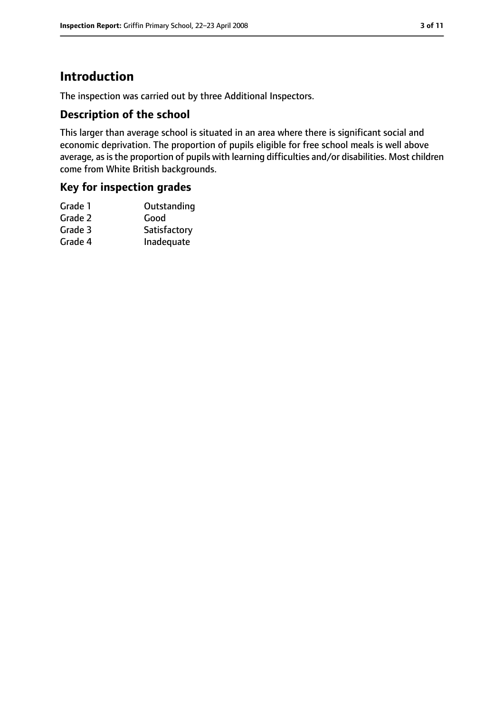# **Introduction**

The inspection was carried out by three Additional Inspectors.

## **Description of the school**

This larger than average school is situated in an area where there is significant social and economic deprivation. The proportion of pupils eligible for free school meals is well above average, as is the proportion of pupils with learning difficulties and/or disabilities. Most children come from White British backgrounds.

#### **Key for inspection grades**

| Grade 1 | Outstanding  |
|---------|--------------|
| Grade 2 | Good         |
| Grade 3 | Satisfactory |
| Grade 4 | Inadequate   |
|         |              |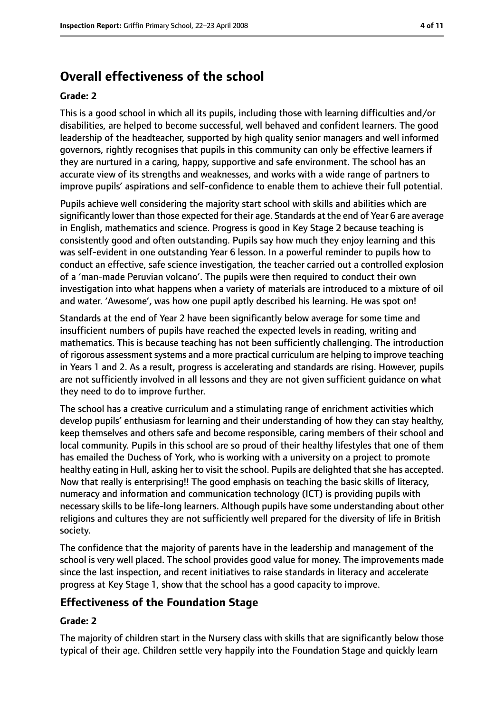# **Overall effectiveness of the school**

#### **Grade: 2**

This is a good school in which all its pupils, including those with learning difficulties and/or disabilities, are helped to become successful, well behaved and confident learners. The good leadership of the headteacher, supported by high quality senior managers and well informed governors, rightly recognises that pupils in this community can only be effective learners if they are nurtured in a caring, happy, supportive and safe environment. The school has an accurate view of its strengths and weaknesses, and works with a wide range of partners to improve pupils' aspirations and self-confidence to enable them to achieve their full potential.

Pupils achieve well considering the majority start school with skills and abilities which are significantly lower than those expected for their age. Standards at the end of Year 6 are average in English, mathematics and science. Progress is good in Key Stage 2 because teaching is consistently good and often outstanding. Pupils say how much they enjoy learning and this was self-evident in one outstanding Year 6 lesson. In a powerful reminder to pupils how to conduct an effective, safe science investigation, the teacher carried out a controlled explosion of a 'man-made Peruvian volcano'. The pupils were then required to conduct their own investigation into what happens when a variety of materials are introduced to a mixture of oil and water. 'Awesome', was how one pupil aptly described his learning. He was spot on!

Standards at the end of Year 2 have been significantly below average for some time and insufficient numbers of pupils have reached the expected levels in reading, writing and mathematics. This is because teaching has not been sufficiently challenging. The introduction of rigorous assessment systems and a more practical curriculum are helping to improve teaching in Years 1 and 2. As a result, progress is accelerating and standards are rising. However, pupils are not sufficiently involved in all lessons and they are not given sufficient guidance on what they need to do to improve further.

The school has a creative curriculum and a stimulating range of enrichment activities which develop pupils' enthusiasm for learning and their understanding of how they can stay healthy, keep themselves and others safe and become responsible, caring members of their school and local community. Pupils in this school are so proud of their healthy lifestyles that one of them has emailed the Duchess of York, who is working with a university on a project to promote healthy eating in Hull, asking her to visit the school. Pupils are delighted that she has accepted. Now that really is enterprising!! The good emphasis on teaching the basic skills of literacy, numeracy and information and communication technology (ICT) is providing pupils with necessary skills to be life-long learners. Although pupils have some understanding about other religions and cultures they are not sufficiently well prepared for the diversity of life in British society.

The confidence that the majority of parents have in the leadership and management of the school is very well placed. The school provides good value for money. The improvements made since the last inspection, and recent initiatives to raise standards in literacy and accelerate progress at Key Stage 1, show that the school has a good capacity to improve.

#### **Effectiveness of the Foundation Stage**

#### **Grade: 2**

The majority of children start in the Nursery class with skills that are significantly below those typical of their age. Children settle very happily into the Foundation Stage and quickly learn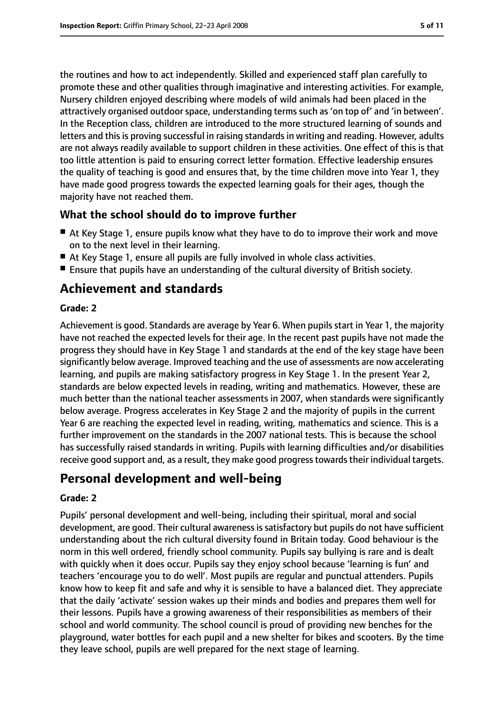the routines and how to act independently. Skilled and experienced staff plan carefully to promote these and other qualities through imaginative and interesting activities. For example, Nursery children enjoyed describing where models of wild animals had been placed in the attractively organised outdoor space, understanding terms such as 'on top of' and 'in between'. In the Reception class, children are introduced to the more structured learning of sounds and letters and this is proving successful in raising standards in writing and reading. However, adults are not always readily available to support children in these activities. One effect of this is that too little attention is paid to ensuring correct letter formation. Effective leadership ensures the quality of teaching is good and ensures that, by the time children move into Year 1, they have made good progress towards the expected learning goals for their ages, though the majority have not reached them.

## **What the school should do to improve further**

- At Key Stage 1, ensure pupils know what they have to do to improve their work and move on to the next level in their learning.
- At Key Stage 1, ensure all pupils are fully involved in whole class activities.
- Ensure that pupils have an understanding of the cultural diversity of British society.

# **Achievement and standards**

#### **Grade: 2**

Achievement is good. Standards are average by Year 6. When pupils start in Year 1, the majority have not reached the expected levels for their age. In the recent past pupils have not made the progress they should have in Key Stage 1 and standards at the end of the key stage have been significantly below average. Improved teaching and the use of assessments are now accelerating learning, and pupils are making satisfactory progress in Key Stage 1. In the present Year 2, standards are below expected levels in reading, writing and mathematics. However, these are much better than the national teacher assessments in 2007, when standards were significantly below average. Progress accelerates in Key Stage 2 and the majority of pupils in the current Year 6 are reaching the expected level in reading, writing, mathematics and science. This is a further improvement on the standards in the 2007 national tests. This is because the school has successfully raised standards in writing. Pupils with learning difficulties and/or disabilities receive good support and, as a result, they make good progress towards their individual targets.

# **Personal development and well-being**

#### **Grade: 2**

Pupils' personal development and well-being, including their spiritual, moral and social development, are good. Their cultural awareness is satisfactory but pupils do not have sufficient understanding about the rich cultural diversity found in Britain today. Good behaviour is the norm in this well ordered, friendly school community. Pupils say bullying is rare and is dealt with quickly when it does occur. Pupils say they enjoy school because 'learning is fun' and teachers 'encourage you to do well'. Most pupils are regular and punctual attenders. Pupils know how to keep fit and safe and why it is sensible to have a balanced diet. They appreciate that the daily 'activate' session wakes up their minds and bodies and prepares them well for their lessons. Pupils have a growing awareness of their responsibilities as members of their school and world community. The school council is proud of providing new benches for the playground, water bottles for each pupil and a new shelter for bikes and scooters. By the time they leave school, pupils are well prepared for the next stage of learning.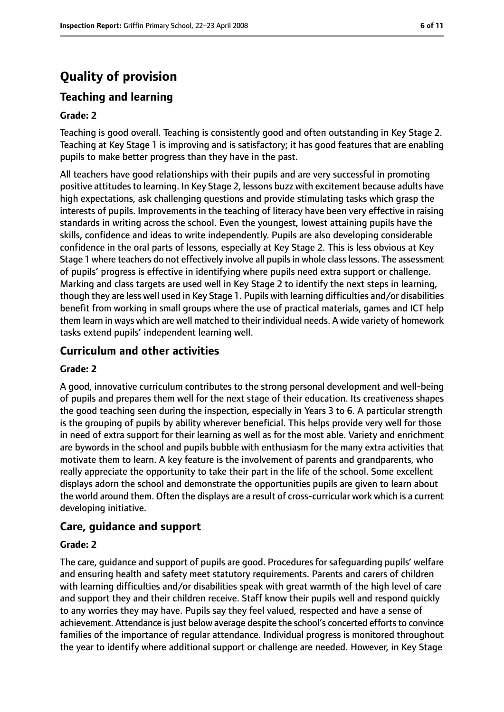# **Quality of provision**

## **Teaching and learning**

#### **Grade: 2**

Teaching is good overall. Teaching is consistently good and often outstanding in Key Stage 2. Teaching at Key Stage 1 is improving and is satisfactory; it has good features that are enabling pupils to make better progress than they have in the past.

All teachers have good relationships with their pupils and are very successful in promoting positive attitudes to learning. In Key Stage 2, lessons buzz with excitement because adults have high expectations, ask challenging questions and provide stimulating tasks which grasp the interests of pupils. Improvements in the teaching of literacy have been very effective in raising standards in writing across the school. Even the youngest, lowest attaining pupils have the skills, confidence and ideas to write independently. Pupils are also developing considerable confidence in the oral parts of lessons, especially at Key Stage 2. This is less obvious at Key Stage 1 where teachers do not effectively involve all pupils in whole class lessons. The assessment of pupils' progress is effective in identifying where pupils need extra support or challenge. Marking and class targets are used well in Key Stage 2 to identify the next steps in learning, though they are less well used in Key Stage 1. Pupils with learning difficulties and/or disabilities benefit from working in small groups where the use of practical materials, games and ICT help them learn in ways which are well matched to their individual needs. A wide variety of homework tasks extend pupils' independent learning well.

## **Curriculum and other activities**

#### **Grade: 2**

A good, innovative curriculum contributes to the strong personal development and well-being of pupils and prepares them well for the next stage of their education. Its creativeness shapes the good teaching seen during the inspection, especially in Years 3 to 6. A particular strength is the grouping of pupils by ability wherever beneficial. This helps provide very well for those in need of extra support for their learning as well as for the most able. Variety and enrichment are bywords in the school and pupils bubble with enthusiasm for the many extra activities that motivate them to learn. A key feature is the involvement of parents and grandparents, who really appreciate the opportunity to take their part in the life of the school. Some excellent displays adorn the school and demonstrate the opportunities pupils are given to learn about the world around them. Often the displays are a result of cross-curricular work which is a current developing initiative.

#### **Care, guidance and support**

#### **Grade: 2**

The care, guidance and support of pupils are good. Procedures for safeguarding pupils' welfare and ensuring health and safety meet statutory requirements. Parents and carers of children with learning difficulties and/or disabilities speak with great warmth of the high level of care and support they and their children receive. Staff know their pupils well and respond quickly to any worries they may have. Pupils say they feel valued, respected and have a sense of achievement. Attendance is just below average despite the school's concerted efforts to convince families of the importance of regular attendance. Individual progress is monitored throughout the year to identify where additional support or challenge are needed. However, in Key Stage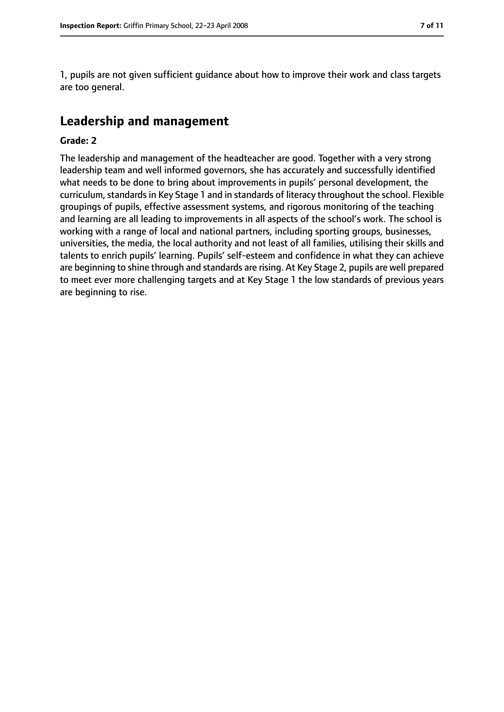1, pupils are not given sufficient guidance about how to improve their work and class targets are too general.

# **Leadership and management**

#### **Grade: 2**

The leadership and management of the headteacher are good. Together with a very strong leadership team and well informed governors, she has accurately and successfully identified what needs to be done to bring about improvements in pupils' personal development, the curriculum, standards in Key Stage 1 and in standards of literacy throughout the school. Flexible groupings of pupils, effective assessment systems, and rigorous monitoring of the teaching and learning are all leading to improvements in all aspects of the school's work. The school is working with a range of local and national partners, including sporting groups, businesses, universities, the media, the local authority and not least of all families, utilising their skills and talents to enrich pupils' learning. Pupils' self-esteem and confidence in what they can achieve are beginning to shine through and standards are rising. At Key Stage 2, pupils are well prepared to meet ever more challenging targets and at Key Stage 1 the low standards of previous years are beginning to rise.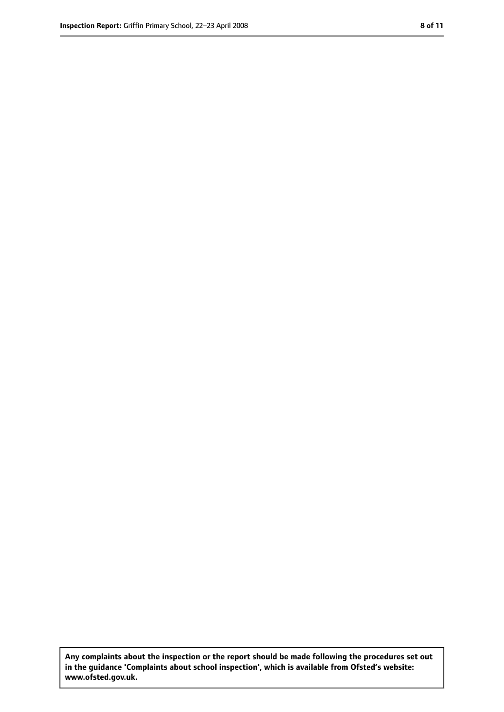**Any complaints about the inspection or the report should be made following the procedures set out in the guidance 'Complaints about school inspection', which is available from Ofsted's website: www.ofsted.gov.uk.**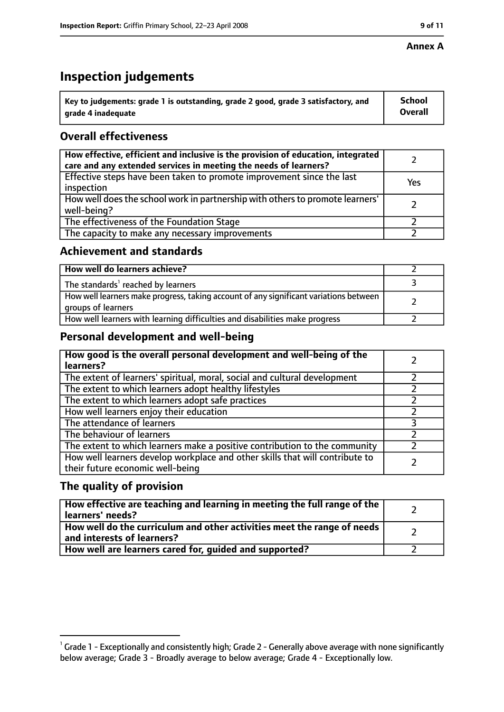#### **Annex A**

# **Inspection judgements**

| $^{\backprime}$ Key to judgements: grade 1 is outstanding, grade 2 good, grade 3 satisfactory, and | <b>School</b>  |
|----------------------------------------------------------------------------------------------------|----------------|
| arade 4 inadequate                                                                                 | <b>Overall</b> |

# **Overall effectiveness**

| How effective, efficient and inclusive is the provision of education, integrated<br>care and any extended services in meeting the needs of learners? |     |
|------------------------------------------------------------------------------------------------------------------------------------------------------|-----|
| Effective steps have been taken to promote improvement since the last<br>inspection                                                                  | Yes |
| How well does the school work in partnership with others to promote learners'<br>well-being?                                                         |     |
| The effectiveness of the Foundation Stage                                                                                                            |     |
| The capacity to make any necessary improvements                                                                                                      |     |

## **Achievement and standards**

| How well do learners achieve?                                                                               |  |
|-------------------------------------------------------------------------------------------------------------|--|
| The standards <sup>1</sup> reached by learners                                                              |  |
| How well learners make progress, taking account of any significant variations between<br>groups of learners |  |
| How well learners with learning difficulties and disabilities make progress                                 |  |

## **Personal development and well-being**

| How good is the overall personal development and well-being of the<br>learners?                                  |  |
|------------------------------------------------------------------------------------------------------------------|--|
| The extent of learners' spiritual, moral, social and cultural development                                        |  |
| The extent to which learners adopt healthy lifestyles                                                            |  |
| The extent to which learners adopt safe practices                                                                |  |
| How well learners enjoy their education                                                                          |  |
| The attendance of learners                                                                                       |  |
| The behaviour of learners                                                                                        |  |
| The extent to which learners make a positive contribution to the community                                       |  |
| How well learners develop workplace and other skills that will contribute to<br>their future economic well-being |  |

## **The quality of provision**

| How effective are teaching and learning in meeting the full range of the<br>learners' needs?          |  |
|-------------------------------------------------------------------------------------------------------|--|
| How well do the curriculum and other activities meet the range of needs<br>and interests of learners? |  |
| How well are learners cared for, quided and supported?                                                |  |

 $^1$  Grade 1 - Exceptionally and consistently high; Grade 2 - Generally above average with none significantly below average; Grade 3 - Broadly average to below average; Grade 4 - Exceptionally low.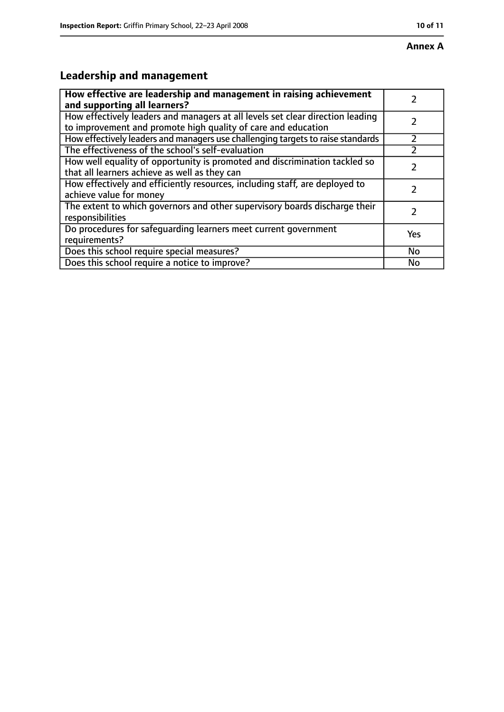## **Annex A**

# **Leadership and management**

| How effective are leadership and management in raising achievement<br>and supporting all learners?                                              |     |
|-------------------------------------------------------------------------------------------------------------------------------------------------|-----|
| How effectively leaders and managers at all levels set clear direction leading<br>to improvement and promote high quality of care and education |     |
| How effectively leaders and managers use challenging targets to raise standards                                                                 |     |
| The effectiveness of the school's self-evaluation                                                                                               |     |
| How well equality of opportunity is promoted and discrimination tackled so<br>that all learners achieve as well as they can                     |     |
| How effectively and efficiently resources, including staff, are deployed to<br>achieve value for money                                          | 7   |
| The extent to which governors and other supervisory boards discharge their<br>responsibilities                                                  | 7   |
| Do procedures for safequarding learners meet current government<br>requirements?                                                                | Yes |
| Does this school require special measures?                                                                                                      | No  |
| Does this school require a notice to improve?                                                                                                   | No  |